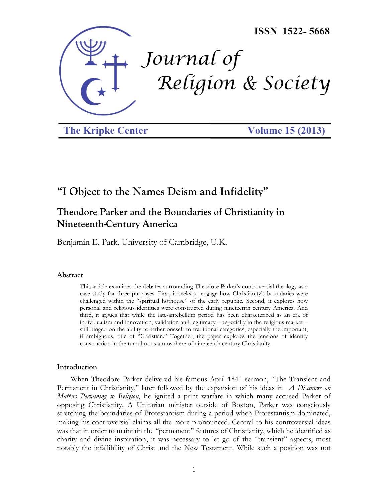

**The Kripke Center** 

**Volume 15 (2013)** 

# **"I Object to the Names Deism and Infidelity"**

# **Theodore Parker and the Boundaries of Christianity in Nineteenth-Century America**

Benjamin E. Park, University of Cambridge, U.K.

#### **Abstract**

This article examines the debates surrounding Theodore Parker's controversial theology as a case study for three purposes. First, it seeks to engage how Christianity's boundaries were challenged within the "spiritual hothouse" of the early republic. Second, it explores how personal and religious identities were constructed during nineteenth century America. And third, it argues that while the late-antebellum period has been characterized as an era of individualism and innovation, validation and legitimacy – especially in the religious market – still hinged on the ability to tether oneself to traditional categories, especially the important, if ambiguous, title of "Christian." Together, the paper explores the tensions of identity construction in the tumultuous atmosphere of nineteenth century Christianity.

#### **Introduction**

When Theodore Parker delivered his famous April 1841 sermon, "The Transient and Permanent in Christianity," later followed by the expansion of his ideas in *A Discourse on Matters Pertaining to Religion*, he ignited a print warfare in which many accused Parker of opposing Christianity. A Unitarian minister outside of Boston, Parker was consciously stretching the boundaries of Protestantism during a period when Protestantism dominated, making his controversial claims all the more pronounced. Central to his controversial ideas was that in order to maintain the "permanent" features of Christianity, which he identified as charity and divine inspiration, it was necessary to let go of the "transient" aspects, most notably the infallibility of Christ and the New Testament. While such a position was not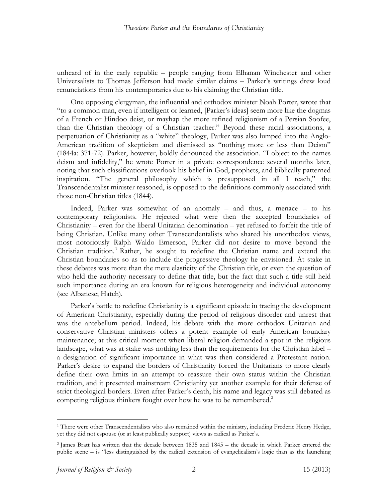unheard of in the early republic – people ranging from Elhanan Winchester and other Universalists to Thomas Jefferson had made similar claims – Parker's writings drew loud renunciations from his contemporaries due to his claiming the Christian title.

One opposing clergyman, the influential and orthodox minister Noah Porter, wrote that "to a common man, even if intelligent or learned, [Parker's ideas] seem more like the dogmas of a French or Hindoo deist, or mayhap the more refined religionism of a Persian Soofee, than the Christian theology of a Christian teacher." Beyond these racial associations, a perpetuation of Christianity as a "white" theology, Parker was also lumped into the Anglo-American tradition of skepticism and dismissed as "nothing more or less than Deism" (1844a: 371-72). Parker, however, boldly denounced the association. "I object to the names deism and infidelity," he wrote Porter in a private correspondence several months later, noting that such classifications overlook his belief in God, prophets, and biblically patterned inspiration. "The general philosophy which is presupposed in all I teach," the Transcendentalist minister reasoned, is opposed to the definitions commonly associated with those non-Christian titles (1844).

Indeed, Parker was somewhat of an anomaly – and thus, a menace – to his contemporary religionists. He rejected what were then the accepted boundaries of Christianity – even for the liberal Unitarian denomination – yet refused to forfeit the title of being Christian. Unlike many other Transcendentalists who shared his unorthodox views, most notoriously Ralph Waldo Emerson, Parker did not desire to move beyond the Christian tradition.<sup>1</sup> Rather, he sought to redefine the Christian name and extend the Christian boundaries so as to include the progressive theology he envisioned. At stake in these debates was more than the mere elasticity of the Christian title, or even the question of who held the authority necessary to define that title, but the fact that such a title still held such importance during an era known for religious heterogeneity and individual autonomy (see Albanese; Hatch).

Parker's battle to redefine Christianity is a significant episode in tracing the development of American Christianity, especially during the period of religious disorder and unrest that was the antebellum period. Indeed, his debate with the more orthodox Unitarian and conservative Christian ministers offers a potent example of early American boundary maintenance; at this critical moment when liberal religion demanded a spot in the religious landscape, what was at stake was nothing less than the requirements for the Christian label – a designation of significant importance in what was then considered a Protestant nation. Parker's desire to expand the borders of Christianity forced the Unitarians to more clearly define their own limits in an attempt to reassure their own status within the Christian tradition, and it presented mainstream Christianity yet another example for their defense of strict theological borders. Even after Parker's death, his name and legacy was still debated as competing religious thinkers fought over how he was to be remembered.<sup>2</sup>

<sup>&</sup>lt;sup>1</sup> There were other Transcendentalists who also remained within the ministry, including Frederic Henry Hedge, yet they did not espouse (or at least publically support) views as radical as Parker's.

<sup>2</sup> James Bratt has written that the decade between 1835 and 1845 – the decade in which Parker entered the public scene – is "less distinguished by the radical extension of evangelicalism's logic than as the launching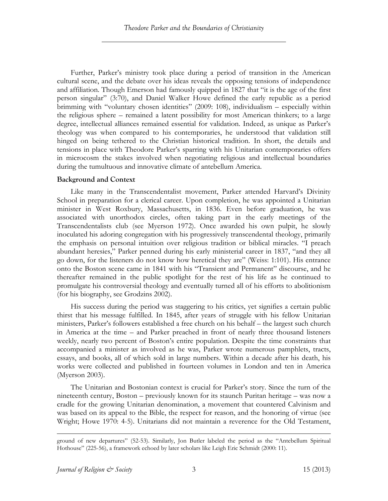Further, Parker's ministry took place during a period of transition in the American cultural scene, and the debate over his ideas reveals the opposing tensions of independence and affiliation. Though Emerson had famously quipped in 1827 that "it is the age of the first person singular" (3:70), and Daniel Walker Howe defined the early republic as a period brimming with "voluntary chosen identities" (2009: 108), individualism – especially within the religious sphere – remained a latent possibility for most American thinkers; to a large degree, intellectual alliances remained essential for validation. Indeed, as unique as Parker's theology was when compared to his contemporaries, he understood that validation still hinged on being tethered to the Christian historical tradition. In short, the details and tensions in place with Theodore Parker's sparring with his Unitarian contemporaries offers in microcosm the stakes involved when negotiating religious and intellectual boundaries during the tumultuous and innovative climate of antebellum America.

# **Background and Context**

Like many in the Transcendentalist movement, Parker attended Harvard's Divinity School in preparation for a clerical career. Upon completion, he was appointed a Unitarian minister in West Roxbury, Massachusetts, in 1836. Even before graduation, he was associated with unorthodox circles, often taking part in the early meetings of the Transcendentalists club (see Myerson 1972). Once awarded his own pulpit, he slowly inoculated his adoring congregation with his progressively transcendental theology, primarily the emphasis on personal intuition over religious tradition or biblical miracles. "I preach abundant heresies," Parker penned during his early ministerial career in 1837, "and they all go down, for the listeners do not know how heretical they are" (Weiss: 1:101). His entrance onto the Boston scene came in 1841 with his "Transient and Permanent" discourse, and he thereafter remained in the public spotlight for the rest of his life as he continued to promulgate his controversial theology and eventually turned all of his efforts to abolitionism (for his biography, see Grodzins 2002).

His success during the period was staggering to his critics, yet signifies a certain public thirst that his message fulfilled. In 1845, after years of struggle with his fellow Unitarian ministers, Parker's followers established a free church on his behalf – the largest such church in America at the time – and Parker preached in front of nearly three thousand listeners weekly, nearly two percent of Boston's entire population. Despite the time constraints that accompanied a minister as involved as he was, Parker wrote numerous pamphlets, tracts, essays, and books, all of which sold in large numbers. Within a decade after his death, his works were collected and published in fourteen volumes in London and ten in America (Myerson 2003).

The Unitarian and Bostonian context is crucial for Parker's story. Since the turn of the nineteenth century, Boston – previously known for its staunch Puritan heritage – was now a cradle for the growing Unitarian denomination, a movement that countered Calvinism and was based on its appeal to the Bible, the respect for reason, and the honoring of virtue (see Wright; Howe 1970: 4-5). Unitarians did not maintain a reverence for the Old Testament,

ground of new departures" (52-53). Similarly, Jon Butler labeled the period as the "Antebellum Spiritual Hothouse" (225-56), a framework echoed by later scholars like Leigh Eric Schmidt (2000: 11).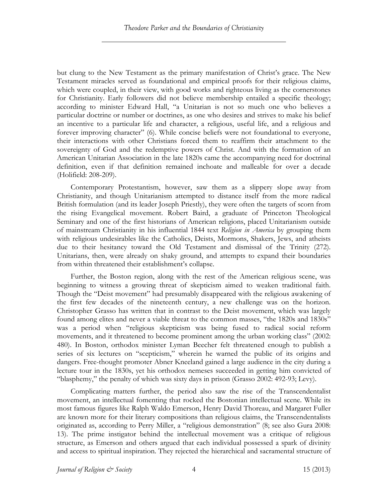but clung to the New Testament as the primary manifestation of Christ's grace. The New Testament miracles served as foundational and empirical proofs for their religious claims, which were coupled, in their view, with good works and righteous living as the cornerstones for Christianity. Early followers did not believe membership entailed a specific theology; according to minister Edward Hall, "a Unitarian is not so much one who believes a particular doctrine or number or doctrines, as one who desires and strives to make his belief an incentive to a particular life and character, a religious, useful life, and a religious and forever improving character" (6). While concise beliefs were not foundational to everyone, their interactions with other Christians forced them to reaffirm their attachment to the sovereignty of God and the redemptive powers of Christ. And with the formation of an American Unitarian Association in the late 1820s came the accompanying need for doctrinal definition, even if that definition remained inchoate and malleable for over a decade (Holifield: 208-209).

Contemporary Protestantism, however, saw them as a slippery slope away from Christianity, and though Unitarianism attempted to distance itself from the more radical British formulation (and its leader Joseph Priestly), they were often the targets of scorn from the rising Evangelical movement. Robert Baird, a graduate of Princeton Theological Seminary and one of the first historians of American religions, placed Unitarianism outside of mainstream Christianity in his influential 1844 text *Religion in America* by grouping them with religious undesirables like the Catholics, Deists, Mormons, Shakers, Jews, and atheists due to their hesitancy toward the Old Testament and dismissal of the Trinity (272). Unitarians, then, were already on shaky ground, and attempts to expand their boundaries from within threatened their establishment's collapse.

Further, the Boston region, along with the rest of the American religious scene, was beginning to witness a growing threat of skepticism aimed to weaken traditional faith. Though the "Deist movement" had presumably disappeared with the religious awakening of the first few decades of the nineteenth century, a new challenge was on the horizon. Christopher Grasso has written that in contrast to the Deist movement, which was largely found among elites and never a viable threat to the common masses, "the 1820s and 1830s" was a period when "religious skepticism was being fused to radical social reform movements, and it threatened to become prominent among the urban working class" (2002: 480). In Boston, orthodox minister Lyman Beecher felt threatened enough to publish a series of six lectures on "scepticism," wherein he warned the public of its origins and dangers. Free-thought promoter Abner Kneeland gained a large audience in the city during a lecture tour in the 1830s, yet his orthodox nemeses succeeded in getting him convicted of "blasphemy," the penalty of which was sixty days in prison (Grasso 2002: 492-93; Levy).

Complicating matters further, the period also saw the rise of the Transcendentalist movement, an intellectual fomenting that rocked the Bostonian intellectual scene. While its most famous figures like Ralph Waldo Emerson, Henry David Thoreau, and Margaret Fuller are known more for their literary compositions than religious claims, the Transcendentalists originated as, according to Perry Miller, a "religious demonstration" (8; see also Gura 2008: 13). The prime instigator behind the intellectual movement was a critique of religious structure, as Emerson and others argued that each individual possessed a spark of divinity and access to spiritual inspiration. They rejected the hierarchical and sacramental structure of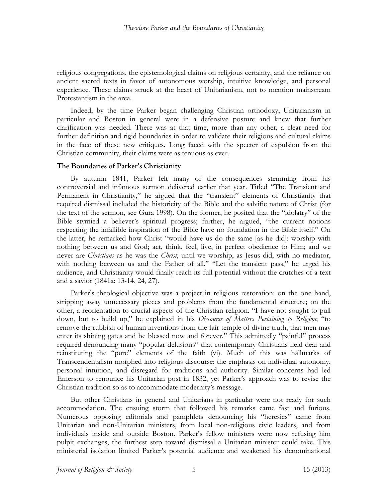religious congregations, the epistemological claims on religious certainty, and the reliance on ancient sacred texts in favor of autonomous worship, intuitive knowledge, and personal experience. These claims struck at the heart of Unitarianism, not to mention mainstream Protestantism in the area.

Indeed, by the time Parker began challenging Christian orthodoxy, Unitarianism in particular and Boston in general were in a defensive posture and knew that further clarification was needed. There was at that time, more than any other, a clear need for further definition and rigid boundaries in order to validate their religious and cultural claims in the face of these new critiques. Long faced with the specter of expulsion from the Christian community, their claims were as tenuous as ever.

# **The Boundaries of Parker's Christianity**

By autumn 1841, Parker felt many of the consequences stemming from his controversial and infamous sermon delivered earlier that year. Titled "The Transient and Permanent in Christianity," he argued that the "transient" elements of Christianity that required dismissal included the historicity of the Bible and the salvific nature of Christ (for the text of the sermon, see Gura 1998). On the former, he posited that the "idolatry" of the Bible stymied a believer's spiritual progress; further, he argued, "the current notions respecting the infallible inspiration of the Bible have no foundation in the Bible itself." On the latter, he remarked how Christ "would have us do the same [as he did]: worship with nothing between us and God; act, think, feel, live, in perfect obedience to Him; and we never are *Christians* as he was the *Christ*, until we worship, as Jesus did, with no mediator, with nothing between us and the Father of all." "Let the transient pass," he urged his audience, and Christianity would finally reach its full potential without the crutches of a text and a savior (1841a: 13-14, 24, 27).

Parker's theological objective was a project in religious restoration: on the one hand, stripping away unnecessary pieces and problems from the fundamental structure; on the other, a reorientation to crucial aspects of the Christian religion. "I have not sought to pull down, but to build up," he explained in his *Discourse of Matters Pertaining to Religion*; "to remove the rubbish of human inventions from the fair temple of divine truth, that men may enter its shining gates and be blessed now and forever." This admittedly "painful" process required denouncing many "popular delusions" that contemporary Christians held dear and reinstituting the "pure" elements of the faith (vi). Much of this was hallmarks of Transcendentalism morphed into religious discourse: the emphasis on individual autonomy, personal intuition, and disregard for traditions and authority. Similar concerns had led Emerson to renounce his Unitarian post in 1832, yet Parker's approach was to revise the Christian tradition so as to accommodate modernity's message.

But other Christians in general and Unitarians in particular were not ready for such accommodation. The ensuing storm that followed his remarks came fast and furious. Numerous opposing editorials and pamphlets denouncing his "heresies" came from Unitarian and non-Unitarian ministers, from local non-religious civic leaders, and from individuals inside and outside Boston. Parker's fellow ministers were now refusing him pulpit exchanges, the furthest step toward dismissal a Unitarian minister could take. This ministerial isolation limited Parker's potential audience and weakened his denominational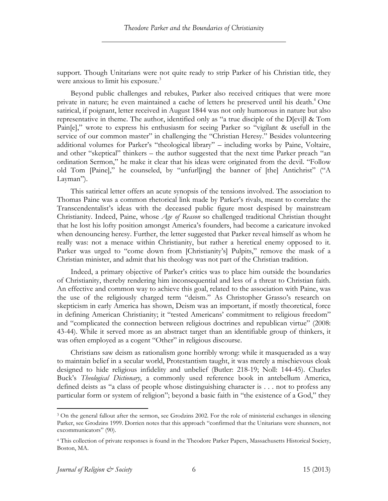support. Though Unitarians were not quite ready to strip Parker of his Christian title, they were anxious to limit his exposure.<sup>3</sup>

Beyond public challenges and rebukes, Parker also received critiques that were more private in nature; he even maintained a cache of letters he preserved until his death.<sup>4</sup> One satirical, if poignant, letter received in August 1844 was not only humorous in nature but also representative in theme. The author, identified only as "a true disciple of the D[evi]l & Tom Pain[e]," wrote to express his enthusiasm for seeing Parker so "vigilant & usefull in the service of our common master" in challenging the "Christian Heresy." Besides volunteering additional volumes for Parker's "theological library" – including works by Paine, Voltaire, and other "skeptical" thinkers – the author suggested that the next time Parker preach "an ordination Sermon," he make it clear that his ideas were originated from the devil. "Follow old Tom [Paine]," he counseled, by "unfurl[ing] the banner of [the] Antichrist" ("A Layman").

This satirical letter offers an acute synopsis of the tensions involved. The association to Thomas Paine was a common rhetorical link made by Parker's rivals, meant to correlate the Transcendentalist's ideas with the deceased public figure most despised by mainstream Christianity. Indeed, Paine, whose *Age of Reason* so challenged traditional Christian thought that he lost his lofty position amongst America's founders, had become a caricature invoked when denouncing heresy. Further, the letter suggested that Parker reveal himself as whom he really was: not a menace within Christianity, but rather a heretical enemy opposed to it. Parker was urged to "come down from [Christianity's] Pulpits," remove the mask of a Christian minister, and admit that his theology was not part of the Christian tradition.

Indeed, a primary objective of Parker's critics was to place him outside the boundaries of Christianity, thereby rendering him inconsequential and less of a threat to Christian faith. An effective and common way to achieve this goal, related to the association with Paine, was the use of the religiously charged term "deism." As Christopher Grasso's research on skepticism in early America has shown, Deism was an important, if mostly theoretical, force in defining American Christianity; it "tested Americans' commitment to religious freedom" and "complicated the connection between religious doctrines and republican virtue" (2008: 43-44). While it served more as an abstract target than an identifiable group of thinkers, it was often employed as a cogent "Other" in religious discourse.

Christians saw deism as rationalism gone horribly wrong: while it masqueraded as a way to maintain belief in a secular world, Protestantism taught, it was merely a mischievous cloak designed to hide religious infidelity and unbelief (Butler: 218-19; Noll: 144-45). Charles Buck's *Theological Dictionary*, a commonly used reference book in antebellum America, defined deists as "a class of people whose distinguishing character is . . . not to profess any particular form or system of religion"; beyond a basic faith in "the existence of a God," they

<sup>&</sup>lt;sup>3</sup> On the general fallout after the sermon, see Grodzins 2002. For the role of ministerial exchanges in silencing Parker, see Grodzins 1999. Dorrien notes that this approach "confirmed that the Unitarians were shunners, not excommunicators" (90).

<sup>4</sup> This collection of private responses is found in the Theodore Parker Papers, Massachusetts Historical Society, Boston, MA.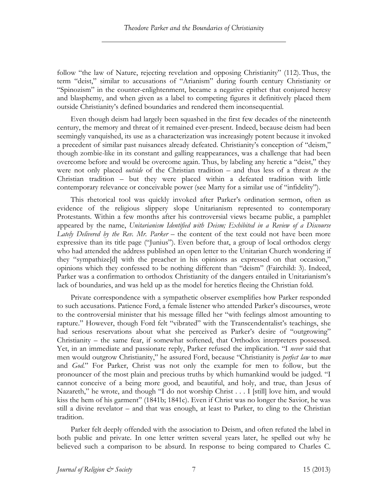follow "the law of Nature, rejecting revelation and opposing Christianity" (112). Thus, the term "deist," similar to accusations of "Arianism" during fourth century Christianity or "Spinozism" in the counter-enlightenment, became a negative epithet that conjured heresy and blasphemy, and when given as a label to competing figures it definitively placed them outside Christianity's defined boundaries and rendered them inconsequential.

Even though deism had largely been squashed in the first few decades of the nineteenth century, the memory and threat of it remained ever-present. Indeed, because deism had been seemingly vanquished, its use as a characterization was increasingly potent because it invoked a precedent of similar past nuisances already defeated. Christianity's conception of "deism," though zombie-like in its constant and galling reappearances, was a challenge that had been overcome before and would be overcome again. Thus, by labeling any heretic a "deist," they were not only placed *outside* of the Christian tradition – and thus less of a threat *to* the Christian tradition – but they were placed within a defeated tradition with little contemporary relevance or conceivable power (see Marty for a similar use of "infidelity").

This rhetorical tool was quickly invoked after Parker's ordination sermon, often as evidence of the religious slippery slope Unitarianism represented to contemporary Protestants. Within a few months after his controversial views became public, a pamphlet appeared by the name, *Unitarianism Identified with Deism; Exhibited in a Review of a Discourse Lately Delivered by the Rev. Mr. Parker* – the content of the text could not have been more expressive than its title page ("Junius"). Even before that, a group of local orthodox clergy who had attended the address published an open letter to the Unitarian Church wondering if they "sympathize[d] with the preacher in his opinions as expressed on that occasion," opinions which they confessed to be nothing different than "deism" (Fairchild: 3). Indeed, Parker was a confirmation to orthodox Christianity of the dangers entailed in Unitarianism's lack of boundaries, and was held up as the model for heretics fleeing the Christian fold.

Private correspondence with a sympathetic observer exemplifies how Parker responded to such accusations. Patience Ford, a female listener who attended Parker's discourses, wrote to the controversial minister that his message filled her "with feelings almost amounting to rapture." However, though Ford felt "vibrated" with the Transcendentalist's teachings, she had serious reservations about what she perceived as Parker's desire of "outgrowing" Christianity – the same fear, if somewhat softened, that Orthodox interpreters possessed. Yet, in an immediate and passionate reply, Parker refused the implication. "I *never* said that men would outgrow Christianity," he assured Ford, because "Christianity is *perfect law* to *man* and *God*." For Parker, Christ was not only the example for men to follow, but the pronouncer of the most plain and precious truths by which humankind would be judged. "I cannot conceive of a being more good, and beautiful, and holy, and true, than Jesus of Nazareth," he wrote, and though "I do not worship Christ . . . I [still] love him, and would kiss the hem of his garment" (1841b; 1841c). Even if Christ was no longer the Savior, he was still a divine revelator – and that was enough, at least to Parker, to cling to the Christian tradition.

Parker felt deeply offended with the association to Deism, and often refuted the label in both public and private. In one letter written several years later, he spelled out why he believed such a comparison to be absurd. In response to being compared to Charles C.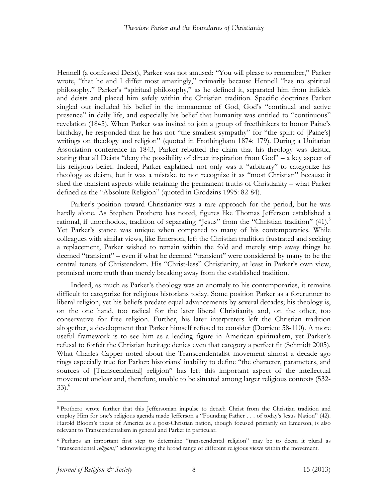Hennell (a confessed Deist), Parker was not amused: "You will please to remember," Parker wrote, "that he and I differ most amazingly," primarily because Hennell "has no spiritual philosophy." Parker's "spiritual philosophy," as he defined it, separated him from infidels and deists and placed him safely within the Christian tradition. Specific doctrines Parker singled out included his belief in the immanence of God, God's "continual and active presence" in daily life, and especially his belief that humanity was entitled to "continuous" revelation (1845). When Parker was invited to join a group of freethinkers to honor Paine's birthday, he responded that he has not "the smallest sympathy" for "the spirit of [Paine's] writings on theology and religion" (quoted in Frothingham 1874: 179). During a Unitarian Association conference in 1843, Parker rebutted the claim that his theology was deistic, stating that all Deists "deny the possibility of direct inspiration from God" – a key aspect of his religious belief. Indeed, Parker explained, not only was it "arbitrary" to categorize his theology as deism, but it was a mistake to not recognize it as "most Christian" because it shed the transient aspects while retaining the permanent truths of Christianity – what Parker defined as the "Absolute Religion" (quoted in Grodzins 1995: 82-84).

Parker's position toward Christianity was a rare approach for the period, but he was hardly alone. As Stephen Prothero has noted, figures like Thomas Jefferson established a rational, if unorthodox, tradition of separating "Jesus" from the "Christian tradition"  $(41)$ .<sup>5</sup> Yet Parker's stance was unique when compared to many of his contemporaries. While colleagues with similar views, like Emerson, left the Christian tradition frustrated and seeking a replacement, Parker wished to remain within the fold and merely strip away things he deemed "transient" – even if what he deemed "transient" were considered by many to be the central tenets of Christendom. His "Christ-less" Christianity, at least in Parker's own view, promised more truth than merely breaking away from the established tradition.

Indeed, as much as Parker's theology was an anomaly to his contemporaries, it remains difficult to categorize for religious historians today. Some position Parker as a forerunner to liberal religion, yet his beliefs predate equal advancements by several decades; his theology is, on the one hand, too radical for the later liberal Christianity and, on the other, too conservative for free religion. Further, his later interpreters left the Christian tradition altogether, a development that Parker himself refused to consider (Dorrien: 58-110). A more useful framework is to see him as a leading figure in American spiritualism, yet Parker's refusal to forfeit the Christian heritage denies even that category a perfect fit (Schmidt 2005). What Charles Capper noted about the Transcendentalist movement almost a decade ago rings especially true for Parker: historians' inability to define "the character, parameters, and sources of [Transcendental] religion" has left this important aspect of the intellectual movement unclear and, therefore, unable to be situated among larger religious contexts (532- 33). 6

<sup>&</sup>lt;sup>5</sup> Prothero wrote further that this Jeffersonian impulse to detach Christ from the Christian tradition and employ Him for one's religious agenda made Jefferson a "Founding Father . . . of today's Jesus Nation" (42). Harold Bloom's thesis of America as a post-Christian nation, though focused primarily on Emerson, is also relevant to Transcendentalism in general and Parker in particular.

<sup>6</sup> Perhaps an important first step to determine "transcendental religion" may be to deem it plural as "transcendental *religions*," acknowledging the broad range of different religious views within the movement.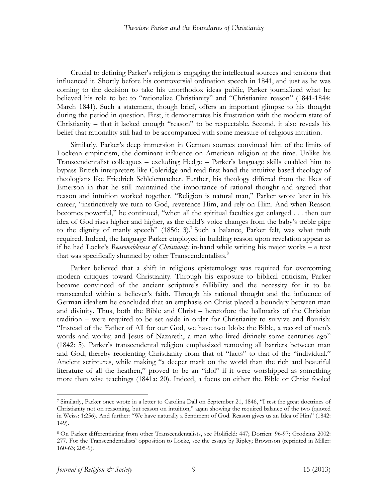Crucial to defining Parker's religion is engaging the intellectual sources and tensions that influenced it. Shortly before his controversial ordination speech in 1841, and just as he was coming to the decision to take his unorthodox ideas public, Parker journalized what he believed his role to be: to "rationalize Christianity" and "Christianize reason" (1841-1844: March 1841). Such a statement, though brief, offers an important glimpse to his thought during the period in question. First, it demonstrates his frustration with the modern state of Christianity – that it lacked enough "reason" to be respectable. Second, it also reveals his belief that rationality still had to be accompanied with some measure of religious intuition.

Similarly, Parker's deep immersion in German sources convinced him of the limits of Lockean empiricism, the dominant influence on American religion at the time. Unlike his Transcendentalist colleagues – excluding Hedge – Parker's language skills enabled him to bypass British interpreters like Coleridge and read first-hand the intuitive-based theology of theologians like Friedrich Schleiermacher. Further, his theology differed from the likes of Emerson in that he still maintained the importance of rational thought and argued that reason and intuition worked together. "Religion is natural man," Parker wrote later in his career, "instinctively we turn to God, reverence Him, and rely on Him. And when Reason becomes powerful," he continued, "when all the spiritual faculties get enlarged . . . then our idea of God rises higher and higher, as the child's voice changes from the baby's treble pipe to the dignity of manly speech" (1856: 3).<sup>7</sup> Such a balance, Parker felt, was what truth required. Indeed, the language Parker employed in building reason upon revelation appear as if he had Locke's *Reasonableness of Christianity* in-hand while writing his major works – a text that was specifically shunned by other Transcendentalists.<sup>8</sup>

Parker believed that a shift in religious epistemology was required for overcoming modern critiques toward Christianity. Through his exposure to biblical criticism, Parker became convinced of the ancient scripture's fallibility and the necessity for it to be transcended within a believer's faith. Through his rational thought and the influence of German idealism he concluded that an emphasis on Christ placed a boundary between man and divinity. Thus, both the Bible and Christ – heretofore the hallmarks of the Christian tradition – were required to be set aside in order for Christianity to survive and flourish: "Instead of the Father of All for our God, we have two Idols: the Bible, a record of men's words and works; and Jesus of Nazareth, a man who lived divinely some centuries ago" (1842: 5). Parker's transcendental religion emphasized removing all barriers between man and God, thereby reorienting Christianity from that of "facts" to that of the "individual." Ancient scriptures, while making "a deeper mark on the world than the rich and beautiful literature of all the heathen," proved to be an "idol" if it were worshipped as something more than wise teachings (1841a: 20). Indeed, a focus on either the Bible or Christ fooled

 <sup>7</sup> Similarly, Parker once wrote in a letter to Carolina Dall on September 21, 1846, "I rest the great doctrines of Christianity not on reasoning, but reason on intuition," again showing the required balance of the two (quoted in Weiss: 1:256). And further: "We have naturally a Sentiment of God. Reason gives us an Idea of Him" (1842: 149).

<sup>8</sup> On Parker differentiating from other Transcendentalists, see Holifield: 447; Dorrien: 96-97; Grodzins 2002: 277. For the Transcendentalists' opposition to Locke, see the essays by Ripley; Brownson (reprinted in Miller: 160-63; 205-9).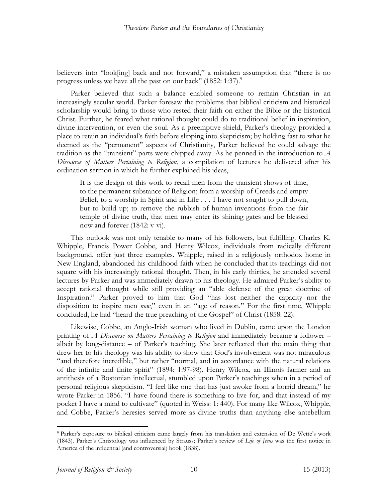believers into "look[ing] back and not forward," a mistaken assumption that "there is no progress unless we have all the past on our back"  $(1852: 1:37)$ .

Parker believed that such a balance enabled someone to remain Christian in an increasingly secular world. Parker foresaw the problems that biblical criticism and historical scholarship would bring to those who rested their faith on either the Bible or the historical Christ. Further, he feared what rational thought could do to traditional belief in inspiration, divine intervention, or even the soul. As a preemptive shield, Parker's theology provided a place to retain an individual's faith before slipping into skepticism; by holding fast to what he deemed as the "permanent" aspects of Christianity, Parker believed he could salvage the tradition as the "transient" parts were chipped away. As he penned in the introduction to *A Discourse of Matters Pertaining to Religion*, a compilation of lectures he delivered after his ordination sermon in which he further explained his ideas,

It is the design of this work to recall men from the transient shows of time, to the permanent substance of Religion; from a worship of Creeds and empty Belief, to a worship in Spirit and in Life . . . I have not sought to pull down, but to build up; to remove the rubbish of human inventions from the fair temple of divine truth, that men may enter its shining gates and be blessed now and forever (1842: v-vi).

This outlook was not only tenable to many of his followers, but fulfilling. Charles K. Whipple, Francis Power Cobbe, and Henry Wilcox, individuals from radically different background, offer just three examples. Whipple, raised in a religiously orthodox home in New England, abandoned his childhood faith when he concluded that its teachings did not square with his increasingly rational thought. Then, in his early thirties, he attended several lectures by Parker and was immediately drawn to his theology. He admired Parker's ability to accept rational thought while still providing an "able defense of the great doctrine of Inspiration." Parker proved to him that God "has lost neither the capacity nor the disposition to inspire men *now*," even in an "age of reason." For the first time, Whipple concluded, he had "heard the true preaching of the Gospel" of Christ (1858: 22).

Likewise, Cobbe, an Anglo-Irish woman who lived in Dublin, came upon the London printing of *A Discourse on Matters Pertaining to Religion* and immediately became a follower – albeit by long-distance – of Parker's teaching. She later reflected that the main thing that drew her to his theology was his ability to show that God's involvement was not miraculous "and therefore incredible," but rather "normal, and in accordance with the natural relations of the infinite and finite spirit" (1894: 1:97-98). Henry Wilcox, an Illinois farmer and an antithesis of a Bostonian intellectual, stumbled upon Parker's teachings when in a period of personal religious skepticism. "I feel like one that has just awoke from a horrid dream," he wrote Parker in 1856. "I have found there is something to live for, and that instead of my pocket I have a mind to cultivate" (quoted in Weiss: 1: 440). For many like Wilcox, Whipple, and Cobbe, Parker's heresies served more as divine truths than anything else antebellum

 <sup>9</sup> Parker's exposure to biblical criticism came largely from his translation and extension of De Wette's work (1843). Parker's Christology was influenced by Strauss; Parker's review of *Life of Jesus* was the first notice in America of the influential (and controversial) book (1838).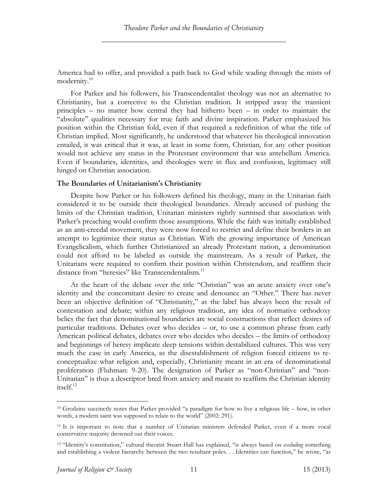America had to offer, and provided a path back to God while wading through the mists of modernity.<sup>10</sup>

For Parker and his followers, his Transcendentalist theology was not an alternative to Christianity, but a corrective to the Christian tradition. It stripped away the transient principles – no matter how central they had hitherto been – in order to maintain the "absolute" qualities necessary for true faith and divine inspiration. Parker emphasized his position within the Christian fold, even if that required a redefinition of what the title of Christian implied. Most significantly, he understood that whatever his theological innovation entailed, it was critical that it was, at least in some form, Christian, for any other position would not achieve any status in the Protestant environment that was antebellum America. Even if boundaries, identities, and theologies were in flux and confusion, legitimacy still hinged on Christian association.

## **The Boundaries of Unitarianism's Christianity**

Despite how Parker or his followers defined his theology, many in the Unitarian faith considered it to be outside their theological boundaries. Already accused of pushing the limits of the Christian tradition, Unitarian ministers rightly surmised that association with Parker's preaching would confirm those assumptions. While the faith was initially established as an anti-creedal movement, they were now forced to restrict and define their borders in an attempt to legitimize their status as Christian. With the growing importance of American Evangelicalism, which further Christianized an already Protestant nation, a denomination could not afford to be labeled as outside the mainstream. As a result of Parker, the Unitarians were required to confirm their position within Christendom, and reaffirm their distance from "heresies" like Transcendentalism.<sup>11</sup>

At the heart of the debate over the title "Christian" was an acute anxiety over one's identity and the concomitant desire to create and denounce an "Other." There has never been an objective definition of "Christianity," as the label has always been the result of contestation and debate; within any religious tradition, any idea of normative orthodoxy belies the fact that denominational boundaries are social constructions that reflect desires of particular traditions. Debates over who decides – or, to use a common phrase from early American political debates, debates over who decides who decides – the limits of orthodoxy and beginnings of heresy implicate deep tensions within destabilized cultures. This was very much the case in early America, as the disestablishment of religion forced citizens to reconceptualize what religion and, especially, Christianity meant in an era of denominational proliferation (Fluhman: 9-20). The designation of Parker as "non-Christian" and "non-Unitarian" is thus a descriptor bred from anxiety and meant to reaffirm the Christian identity itself.<sup>12</sup>

 <sup>10</sup> Grodzins succinctly notes that Parker provided "a paradigm for how to live a religious life – how, in other words, a modern saint was supposed to relate to the world" (2002: 291).

<sup>11</sup> It is important to note that a number of Unitarian ministers defended Parker, even if a more vocal conservative majority drowned out their voices.

<sup>12</sup> "Identity's constitution," cultural theorist Stuart Hall has explained, "is always based on *excluding* something and establishing a violent hierarchy between the two resultant poles. . . Identities can function," he wrote, "as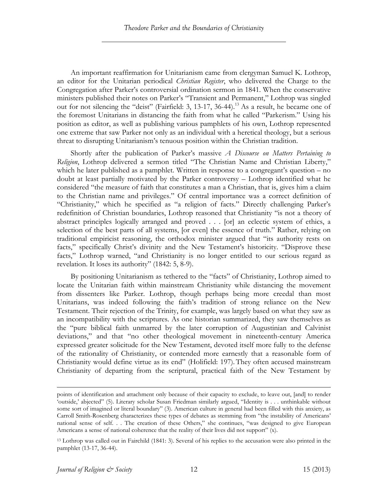An important reaffirmation for Unitarianism came from clergyman Samuel K. Lothrop, an editor for the Unitarian periodical *Christian Register*, who delivered the Charge to the Congregation after Parker's controversial ordination sermon in 1841. When the conservative ministers published their notes on Parker's "Transient and Permanent," Lothrop was singled out for not silencing the "deist" (Fairfield: 3, 13-17, 36-44). 13 As a result, he became one of the foremost Unitarians in distancing the faith from what he called "Parkerism." Using his position as editor, as well as publishing various pamphlets of his own, Lothrop represented one extreme that saw Parker not only as an individual with a heretical theology, but a serious threat to disrupting Unitarianism's tenuous position within the Christian tradition.

Shortly after the publication of Parker's massive *A Discourse on Matters Pertaining to Religion*, Lothrop delivered a sermon titled "The Christian Name and Christian Liberty," which he later published as a pamphlet. Written in response to a congregant's question – no doubt at least partially motivated by the Parker controversy – Lothrop identified what he considered "the measure of faith that constitutes a man a Christian, that is, gives him a claim to the Christian name and privileges." Of central importance was a correct definition of "Christianity," which he specified as "a religion of facts." Directly challenging Parker's redefinition of Christian boundaries, Lothrop reasoned that Christianity "is not a theory of abstract principles logically arranged and proved . . . [or] an eclectic system of ethics, a selection of the best parts of all systems, [or even] the essence of truth." Rather, relying on traditional empiricist reasoning, the orthodox minister argued that "its authority rests on facts," specifically Christ's divinity and the New Testament's historicity. "Disprove these facts," Lothrop warned, "and Christianity is no longer entitled to our serious regard as revelation. It loses its authority" (1842: 5, 8-9).

By positioning Unitarianism as tethered to the "facts" of Christianity, Lothrop aimed to locate the Unitarian faith within mainstream Christianity while distancing the movement from dissenters like Parker. Lothrop, though perhaps being more creedal than most Unitarians, was indeed following the faith's tradition of strong reliance on the New Testament. Their rejection of the Trinity, for example, was largely based on what they saw as an incompatibility with the scriptures. As one historian summarized, they saw themselves as the "pure biblical faith unmarred by the later corruption of Augustinian and Calvinist deviations," and that "no other theological movement in nineteenth-century America expressed greater solicitude for the New Testament, devoted itself more fully to the defense of the rationality of Christianity, or contended more earnestly that a reasonable form of Christianity would define virtue as its end" (Holifield: 197).They often accused mainstream Christianity of departing from the scriptural, practical faith of the New Testament by

points of identification and attachment only because of their capacity to exclude, to leave out, [and] to render 'outside,' abjected" (5). Literary scholar Susan Friedman similarly argued, "Identity is . . . unthinkable without some sort of imagined or literal boundary" (3). American culture in general had been filled with this anxiety, as Carroll Smith-Rosenberg characterizes these types of debates as stemming from "the instability of Americans' national sense of self. . . The creation of these Others," she continues, "was designed to give European Americans a sense of national coherence that the reality of their lives did not support" (x).

<sup>13</sup> Lothrop was called out in Fairchild (1841: 3). Several of his replies to the accusation were also printed in the pamphlet (13-17, 36-44).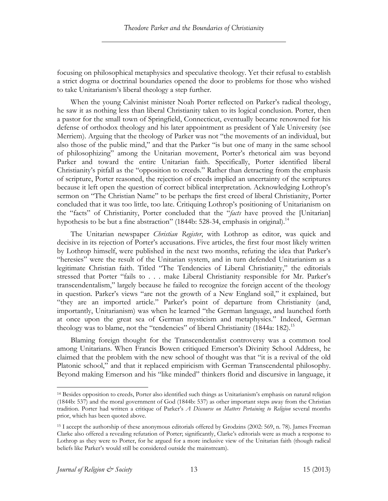focusing on philosophical metaphysics and speculative theology. Yet their refusal to establish a strict dogma or doctrinal boundaries opened the door to problems for those who wished to take Unitarianism's liberal theology a step further.

When the young Calvinist minister Noah Porter reflected on Parker's radical theology, he saw it as nothing less than liberal Christianity taken to its logical conclusion. Porter, then a pastor for the small town of Springfield, Connecticut, eventually became renowned for his defense of orthodox theology and his later appointment as president of Yale University (see Merriem). Arguing that the theology of Parker was not "the movements of an individual, but also those of the public mind," and that the Parker "is but one of many in the same school of philosophizing" among the Unitarian movement, Porter's rhetorical aim was beyond Parker and toward the entire Unitarian faith. Specifically, Porter identified liberal Christianity's pitfall as the "opposition to creeds." Rather than detracting from the emphasis of scripture, Porter reasoned, the rejection of creeds implied an uncertainty of the scriptures because it left open the question of correct biblical interpretation. Acknowledging Lothrop's sermon on "The Christian Name" to be perhaps the first creed of liberal Christianity, Porter concluded that it was too little, too late. Critiquing Lothrop's positioning of Unitarianism on the "facts" of Christianity, Porter concluded that the "*facts* have proved the [Unitarian] hypothesis to be but a fine abstraction" (1844b: 528-34, emphasis in original).<sup>14</sup>

The Unitarian newspaper *Christian Register*, with Lothrop as editor, was quick and decisive in its rejection of Porter's accusations. Five articles, the first four most likely written by Lothrop himself, were published in the next two months, refuting the idea that Parker's "heresies" were the result of the Unitarian system, and in turn defended Unitarianism as a legitimate Christian faith. Titled "The Tendencies of Liberal Christianity," the editorials stressed that Porter "fails to . . . make Liberal Christianity responsible for Mr. Parker's transcendentalism," largely because he failed to recognize the foreign accent of the theology in question. Parker's views "are not the growth of a New England soil," it explained, but "they are an imported article." Parker's point of departure from Christianity (and, importantly, Unitarianism) was when he learned "the German language, and launched forth at once upon the great sea of German mysticism and metaphysics." Indeed, German theology was to blame, not the "tendencies" of liberal Christianity (1844a: 182).<sup>15</sup>

Blaming foreign thought for the Transcendentalist controversy was a common tool among Unitarians. When Francis Bowen critiqued Emerson's Divinity School Address, he claimed that the problem with the new school of thought was that "it is a revival of the old Platonic school," and that it replaced empiricism with German Transcendental philosophy. Beyond making Emerson and his "like minded" thinkers florid and discursive in language, it

 <sup>14</sup> Besides opposition to creeds, Porter also identified such things as Unitarianism's emphasis on natural religion (1844b: 537) and the moral government of God (1844b: 537) as other important steps away from the Christian tradition. Porter had written a critique of Parker's *A Discourse on Matters Pertaining to Religion* several months prior, which has been quoted above.

<sup>15</sup> I accept the authorship of these anonymous editorials offered by Grodzins (2002: 569, n. 78). James Freeman Clarke also offered a revealing refutation of Porter; significantly, Clarke's editorials were as much a response to Lothrop as they were to Porter, for he argued for a more inclusive view of the Unitarian faith (though radical beliefs like Parker's would still be considered outside the mainstream).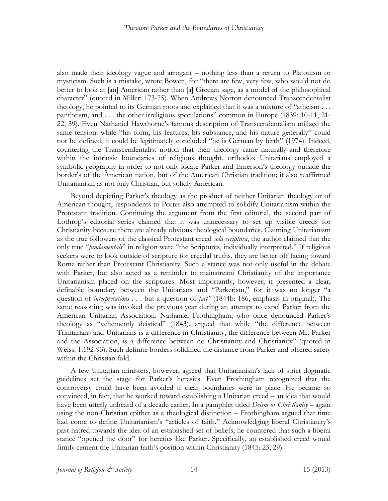also made their ideology vague and arrogant – nothing less than a return to Platonism or mysticism. Such is a mistake, wrote Bowen, for "there are few, very few, who would not do better to look at [an] American rather than [a] Grecian sage, as a model of the philosophical character" (quoted in Miller: 173-75). When Andrews Norton denounced Transcendentalist theology, he pointed to its German roots and explained that it was a mixture of "atheism . . . pantheism, and . . . the other irreligious speculations" common in Europe (1839: 10-11, 21- 22, 39). Even Nathaniel Hawthorne's famous description of Transcendentalism utilized the same tension: while "his form, his features, his substance, and his nature generally" could not be defined, it could be legitimately concluded "he is German by birth" (1974). Indeed, countering the Transcendentalist notion that their theology came naturally and therefore within the intrinsic boundaries of religious thought, orthodox Unitarians employed a symbolic geography in order to not only locate Parker and Emerson's theology outside the border's of the American nation, but of the American Christian tradition; it also reaffirmed Unitarianism as not only Christian, but solidly American.

Beyond depicting Parker's theology as the product of neither Unitarian theology or of American thought, respondents to Porter also attempted to solidify Unitarianism within the Protestant tradition. Continuing the argument from the first editorial, the second part of Lothrop's editorial series claimed that it was unnecessary to set up visible creeds for Christianity because there are already obvious theological boundaries. Claiming Unitarianism as the true followers of the classical Protestant creed *sola scriptura*, the author claimed that the only true "*fundamentals*" in religion were "the Scriptures, individually interpreted." If religious seekers were to look outside of scripture for creedal truths, they are better off facing toward Rome rather than Protestant Christianity. Such a stance was not only useful in the debate with Parker, but also acted as a reminder to mainstream Christianity of the importance Unitarianism placed on the scriptures. Most importantly, however, it presented a clear, definable boundary between the Unitarians and "Parkerism," for it was no longer "a question of *interpretations* . . . but a question of *fact"* (1844b: 186, emphasis in original). The same reasoning was invoked the previous year during an attempt to expel Parker from the American Unitarian Association. Nathaniel Frothingham, who once denounced Parker's theology as "vehemently deistical" (1843), argued that while "the difference between Trinitarians and Unitarians is a difference in Christianity, the difference between Mr. Parker and the Association, is a difference between no Christianity and Christianity" (quoted in Weiss: 1:192-93). Such definite borders solidified the distance from Parker and offered safety within the Christian fold.

A few Unitarian ministers, however, agreed that Unitarianism's lack of strict dogmatic guidelines set the stage for Parker's heresies. Even Frothingham recognized that the controversy could have been avoided if clear boundaries were in place. He became so convinced, in fact, that he worked toward establishing a Unitarian creed – an idea that would have been utterly unheard of a decade earlier. In a pamphlet titled *Deism or Christianity* – again using the non-Christian epithet as a theological distinction – Frothingham argued that time had come to define Unitarianism's "articles of faith." Acknowledging liberal Christianity's past hatred towards the idea of an established set of beliefs, he countered that such a liberal stance "opened the door" for heretics like Parker. Specifically, an established creed would firmly cement the Unitarian faith's position within Christianity (1845: 23, 29).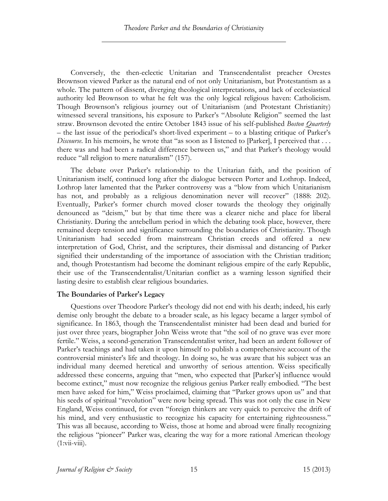Conversely, the then-eclectic Unitarian and Transcendentalist preacher Orestes Brownson viewed Parker as the natural end of not only Unitarianism, but Protestantism as a whole. The pattern of dissent, diverging theological interpretations, and lack of ecclesiastical authority led Brownson to what he felt was the only logical religious haven: Catholicism. Though Brownson's religious journey out of Unitarianism (and Protestant Christianity) witnessed several transitions, his exposure to Parker's "Absolute Religion" seemed the last straw. Brownson devoted the entire October 1843 issue of his self-published *Boston Quarterly* – the last issue of the periodical's short-lived experiment – to a blasting critique of Parker's *Discourse*. In his memoirs, he wrote that "as soon as I listened to [Parker], I perceived that . . . there was and had been a radical difference between us," and that Parker's theology would reduce "all religion to mere naturalism" (157).

The debate over Parker's relationship to the Unitarian faith, and the position of Unitarianism itself, continued long after the dialogue between Porter and Lothrop. Indeed, Lothrop later lamented that the Parker controversy was a "blow from which Unitarianism has not, and probably as a religious denomination never will recover" (1888: 202). Eventually, Parker's former church moved closer towards the theology they originally denounced as "deism," but by that time there was a clearer niche and place for liberal Christianity. During the antebellum period in which the debating took place, however, there remained deep tension and significance surrounding the boundaries of Christianity. Though Unitarianism had seceded from mainstream Christian creeds and offered a new interpretation of God, Christ, and the scriptures, their dismissal and distancing of Parker signified their understanding of the importance of association with the Christian tradition; and, though Protestantism had become the dominant religious empire of the early Republic, their use of the Transcendentalist/Unitarian conflict as a warning lesson signified their lasting desire to establish clear religious boundaries.

## **The Boundaries of Parker's Legacy**

Questions over Theodore Parker's theology did not end with his death; indeed, his early demise only brought the debate to a broader scale, as his legacy became a larger symbol of significance. In 1863, though the Transcendentalist minister had been dead and buried for just over three years, biographer John Weiss wrote that "the soil of no grave was ever more fertile." Weiss, a second-generation Transcendentalist writer, had been an ardent follower of Parker's teachings and had taken it upon himself to publish a comprehensive account of the controversial minister's life and theology. In doing so, he was aware that his subject was an individual many deemed heretical and unworthy of serious attention. Weiss specifically addressed these concerns, arguing that "men, who expected that [Parker's] influence would become extinct," must now recognize the religious genius Parker really embodied. "The best men have asked for him," Weiss proclaimed, claiming that "Parker grows upon us" and that his seeds of spiritual "revolution" were now being spread. This was not only the case in New England, Weiss continued, for even "foreign thinkers are very quick to perceive the drift of his mind, and very enthusiastic to recognize his capacity for entertaining righteousness." This was all because, according to Weiss, those at home and abroad were finally recognizing the religious "pioneer" Parker was, clearing the way for a more rational American theology  $(1:\v{viiv}$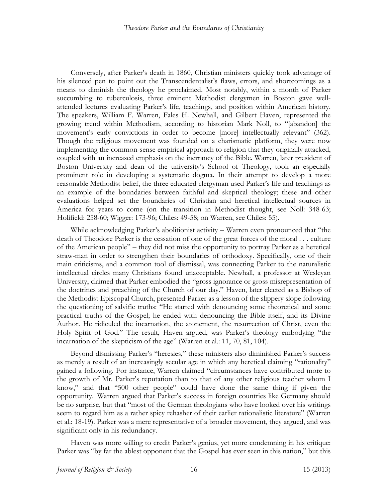Conversely, after Parker's death in 1860, Christian ministers quickly took advantage of his silenced pen to point out the Transcendentalist's flaws, errors, and shortcomings as a means to diminish the theology he proclaimed. Most notably, within a month of Parker succumbing to tuberculosis, three eminent Methodist clergymen in Boston gave wellattended lectures evaluating Parker's life, teachings, and position within American history. The speakers, William F. Warren, Fales H. Newhall, and Gilbert Haven, represented the growing trend within Methodism, according to historian Mark Noll, to "[abandon] the movement's early convictions in order to become [more] intellectually relevant" (362). Though the religious movement was founded on a charismatic platform, they were now implementing the common-sense empirical approach to religion that they originally attacked, coupled with an increased emphasis on the inerrancy of the Bible. Warren, later president of Boston University and dean of the university's School of Theology, took an especially prominent role in developing a systematic dogma. In their attempt to develop a more reasonable Methodist belief, the three educated clergyman used Parker's life and teachings as an example of the boundaries between faithful and skeptical theology; these and other evaluations helped set the boundaries of Christian and heretical intellectual sources in America for years to come (on the transition in Methodist thought, see Noll: 348-63; Holifield: 258-60; Wigger: 173-96; Chiles: 49-58; on Warren, see Chiles: 55).

While acknowledging Parker's abolitionist activity – Warren even pronounced that "the death of Theodore Parker is the cessation of one of the great forces of the moral . . . culture of the American people" – they did not miss the opportunity to portray Parker as a heretical straw-man in order to strengthen their boundaries of orthodoxy. Specifically, one of their main criticisms, and a common tool of dismissal, was connecting Parker to the naturalistic intellectual circles many Christians found unacceptable. Newhall, a professor at Wesleyan University, claimed that Parker embodied the "gross ignorance or gross misrepresentation of the doctrines and preaching of the Church of our day." Haven, later elected as a Bishop of the Methodist Episcopal Church, presented Parker as a lesson of the slippery slope following the questioning of salvific truths: "He started with denouncing some theoretical and some practical truths of the Gospel; he ended with denouncing the Bible itself, and its Divine Author. He ridiculed the incarnation, the atonement, the resurrection of Christ, even the Holy Spirit of God." The result, Haven argued, was Parker's theology embodying "the incarnation of the skepticism of the age" (Warren et al.: 11, 70, 81, 104).

Beyond dismissing Parker's "heresies," these ministers also diminished Parker's success as merely a result of an increasingly secular age in which any heretical claiming "rationality" gained a following. For instance, Warren claimed "circumstances have contributed more to the growth of Mr. Parker's reputation than to that of any other religious teacher whom I know," and that "500 other people" could have done the same thing if given the opportunity. Warren argued that Parker's success in foreign countries like Germany should be no surprise, but that "most of the German theologians who have looked over his writings seem to regard him as a rather spicy rehasher of their earlier rationalistic literature" (Warren et al.: 18-19). Parker was a mere representative of a broader movement, they argued, and was significant only in his redundancy.

Haven was more willing to credit Parker's genius, yet more condemning in his critique: Parker was "by far the ablest opponent that the Gospel has ever seen in this nation," but this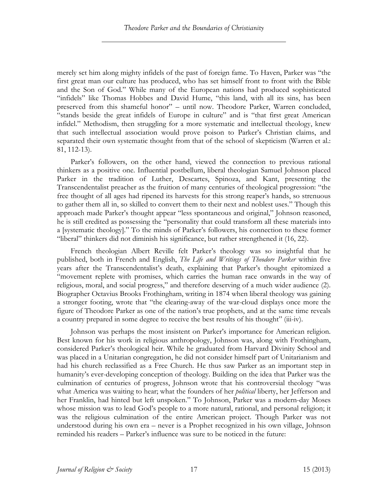merely set him along mighty infidels of the past of foreign fame. To Haven, Parker was "the first great man our culture has produced, who has set himself front to front with the Bible and the Son of God." While many of the European nations had produced sophisticated "infidels" like Thomas Hobbes and David Hume, "this land, with all its sins, has been preserved from this shameful honor" – until now. Theodore Parker, Warren concluded, "stands beside the great infidels of Europe in culture" and is "that first great American infidel." Methodism, then struggling for a more systematic and intellectual theology, knew that such intellectual association would prove poison to Parker's Christian claims, and separated their own systematic thought from that of the school of skepticism (Warren et al.: 81, 112-13).

Parker's followers, on the other hand, viewed the connection to previous rational thinkers as a positive one. Influential postbellum, liberal theologian Samuel Johnson placed Parker in the tradition of Luther, Descartes, Spinoza, and Kant, presenting the Transcendentalist preacher as the fruition of many centuries of theological progression: "the free thought of all ages had ripened its harvests for this strong reaper's hands, so strenuous to gather them all in, so skilled to convert them to their next and noblest uses." Though this approach made Parker's thought appear "less spontaneous and original," Johnson reasoned, he is still credited as possessing the "personality that could transform all these materials into a [systematic theology]." To the minds of Parker's followers, his connection to these former "liberal" thinkers did not diminish his significance, but rather strengthened it (16, 22).

French theologian Albert Reville felt Parker's theology was so insightful that he published, both in French and English, *The Life and Writings of Theodore Parker* within five years after the Transcendentalist's death, explaining that Parker's thought epitomized a "movement replete with promises, which carries the human race onwards in the way of religious, moral, and social progress," and therefore deserving of a much wider audience (2). Biographer Octavius Brooks Frothingham, writing in 1874 when liberal theology was gaining a stronger footing, wrote that "the clearing-away of the war-cloud displays once more the figure of Theodore Parker as one of the nation's true prophets, and at the same time reveals a country prepared in some degree to receive the best results of his thought" (iii-iv).

Johnson was perhaps the most insistent on Parker's importance for American religion. Best known for his work in religious anthropology, Johnson was, along with Frothingham, considered Parker's theological heir. While he graduated from Harvard Divinity School and was placed in a Unitarian congregation, he did not consider himself part of Unitarianism and had his church reclassified as a Free Church. He thus saw Parker as an important step in humanity's ever-developing conception of theology. Building on the idea that Parker was the culmination of centuries of progress, Johnson wrote that his controversial theology "was what America was waiting to hear; what the founders of her *political* liberty, her Jefferson and her Franklin, had hinted but left unspoken." To Johnson, Parker was a modern-day Moses whose mission was to lead God's people to a more natural, rational, and personal religion; it was the religious culmination of the entire American project. Though Parker was not understood during his own era – never is a Prophet recognized in his own village, Johnson reminded his readers – Parker's influence was sure to be noticed in the future: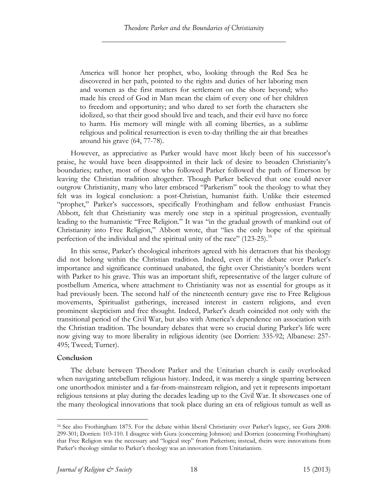America will honor her prophet, who, looking through the Red Sea he discovered in her path, pointed to the rights and duties of her laboring men and women as the first matters for settlement on the shore beyond; who made his creed of God in Man mean the claim of every one of her children to freedom and opportunity; and who dared to set forth the characters she idolized, so that their good should live and teach, and their evil have no force to harm. His memory will mingle with all coming liberties, as a sublime religious and political resurrection is even to-day thrilling the air that breathes around his grave (64, 77-78).

However, as appreciative as Parker would have most likely been of his successor's praise, he would have been disappointed in their lack of desire to broaden Christianity's boundaries; rather, most of those who followed Parker followed the path of Emerson by leaving the Christian tradition altogether. Though Parker believed that one could never outgrow Christianity, many who later embraced "Parkerism" took the theology to what they felt was its logical conclusion: a post-Christian, humanist faith. Unlike their esteemed "prophet," Parker's successors, specifically Frothingham and fellow enthusiast Francis Abbott, felt that Christianity was merely one step in a spiritual progression, eventually leading to the humanistic "Free Religion." It was "in the gradual growth of mankind out of Christianity into Free Religion," Abbott wrote, that "lies the only hope of the spiritual perfection of the individual and the spiritual unity of the race"  $(123-25)$ .<sup>16</sup>

In this sense, Parker's theological inheritors agreed with his detractors that his theology did not belong within the Christian tradition. Indeed, even if the debate over Parker's importance and significance continued unabated, the fight over Christianity's borders went with Parker to his grave. This was an important shift, representative of the larger culture of postbellum America, where attachment to Christianity was not as essential for groups as it had previously been. The second half of the nineteenth century gave rise to Free Religious movements, Spiritualist gatherings, increased interest in eastern religions, and even prominent skepticism and free thought. Indeed, Parker's death coincided not only with the transitional period of the Civil War, but also with America's dependence on association with the Christian tradition. The boundary debates that were so crucial during Parker's life were now giving way to more liberality in religious identity (see Dorrien: 335-92; Albanese: 257- 495; Tweed; Turner).

## **Conclusion**

The debate between Theodore Parker and the Unitarian church is easily overlooked when navigating antebellum religious history. Indeed, it was merely a single sparring between one unorthodox minister and a far-from-mainstream religion, and yet it represents important religious tensions at play during the decades leading up to the Civil War. It showcases one of the many theological innovations that took place during an era of religious tumult as well as

 <sup>16</sup> See also Frothingham 1875. For the debate within liberal Christianity over Parker's legacy, see Gura 2008: 299-301; Dorrien: 103-110. I disagree with Gura (concerning Johnson) and Dorrien (concerning Frothingham) that Free Religion was the necessary and "logical step" from Parkerism; instead, theirs were innovations from Parker's theology similar to Parker's theology was an innovation from Unitarianism.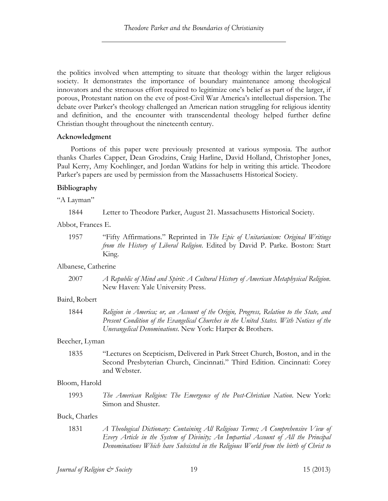the politics involved when attempting to situate that theology within the larger religious society. It demonstrates the importance of boundary maintenance among theological innovators and the strenuous effort required to legitimize one's belief as part of the larger, if porous, Protestant nation on the eve of post-Civil War America's intellectual dispersion. The debate over Parker's theology challenged an American nation struggling for religious identity and definition, and the encounter with transcendental theology helped further define Christian thought throughout the nineteenth century.

# **Acknowledgment**

Portions of this paper were previously presented at various symposia. The author thanks Charles Capper, Dean Grodzins, Craig Harline, David Holland, Christopher Jones, Paul Kerry, Amy Koehlinger, and Jordan Watkins for help in writing this article. Theodore Parker's papers are used by permission from the Massachusetts Historical Society.

# **Bibliography**

"A Layman"

1844 Letter to Theodore Parker, August 21. Massachusetts Historical Society.

Abbot, Frances E.

Albanese, Catherine

2007 *A Republic of Mind and Spirit: A Cultural History of American Metaphysical Religion*. New Haven: Yale University Press.

# Baird, Robert

1844 *Religion in America; or, an Account of the Origin, Progress, Relation to the State, and Present Condition of the Evangelical Churches in the United States. With Notices of the Unevangelical Denominations*. New York: Harper & Brothers.

# Beecher, Lyman

1835 "Lectures on Scepticism, Delivered in Park Street Church, Boston, and in the Second Presbyterian Church, Cincinnati." Third Edition. Cincinnati: Corey and Webster.

# Bloom, Harold

1993 *The American Religion: The Emergence of the Post-Christian Nation*. New York: Simon and Shuster.

# Buck, Charles

1831 *A Theological Dictionary: Containing All Religious Terms; A Comprehensive View of Every Article in the System of Divinity; An Impartial Account of All the Principal Denominations Which have Subsisted in the Religious World from the birth of Christ to* 

<sup>1957</sup> "Fifty Affirmations." Reprinted in *The Epic of Unitarianism: Original Writings from the History of Liberal Religion*. Edited by David P. Parke. Boston: Start King.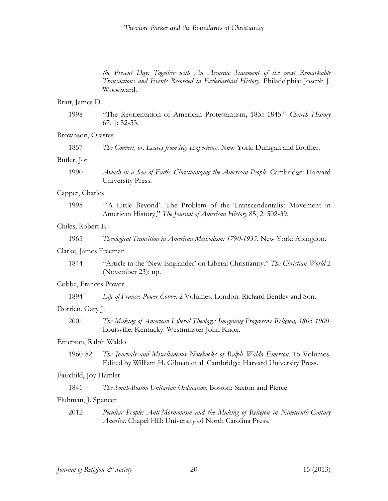*the Present Day: Together with An Accurate Statement of the most Remarkable Transactions and Events Recorded in Ecclesiastical History*. Philadelphia: Joseph J. Woodward.

#### Bratt, James D.

1998 "The Reorientation of American Protestantism, 1835-1845." *Church History* 67, 1: 52-53.

#### Brownson, Orestes

## Butler, Jon

1990 *Awash in a Sea of Faith: Christianizing the American People*. Cambridge: Harvard University Press.

#### Capper, Charles

1998 "'A Little Beyond': The Problem of the Transcendentalist Movement in American History," *The Journal of American History* 85, 2: 502-39.

#### Chiles, Robert E.

1965 *Theological Transition in American Methodism: 1790-1935*. New York: Abingdon.

#### Clarke, James Freeman

1844 "Article in the 'New Englander' on Liberal Christianity." *The Christian World* 2 (November 23): np.

## Cobbe, Frances Power

1894 *Life of Frances Power Cobbe*. 2 Volumes. London: Richard Bentley and Son.

## Dorrien, Gary J.

2001 *The Making of American Liberal Theology: Imagining Progressive Religion, 1805-1900.* Louisville, Kentucky: Westminster John Knox.

#### Emerson, Ralph Waldo

1960-82 *The Journals and Miscellaneous Notebooks of Ralph Waldo Emerson*. 16 Volumes. Edited by William H. Gilman et al. Cambridge: Harvard University Press.

#### Fairchild, Joy Hamlet

1841 *The South-Boston Unitarian Ordination*. Boston: Saxton and Pierce.

#### Fluhman, J. Spencer

2012 *Peculiar People: Anti-Mormonism and the Making of Religion in Nineteenth-Century America*. Chapel Hill: University of North Carolina Press.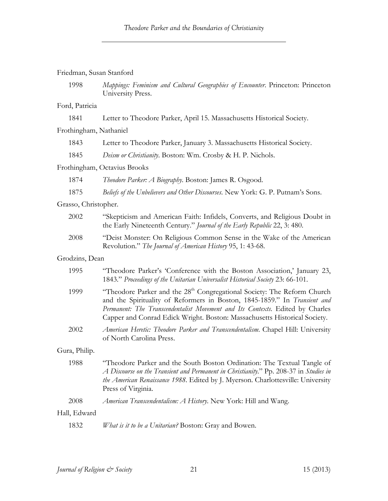Friedman, Susan Stanford

1998 *Mappings: Feminism and Cultural Geographies of Encounter*. Princeton: Princeton University Press.

## Ford, Patricia

|  | 1841 | Letter to Theodore Parker, April 15. Massachusetts Historical Society. |  |
|--|------|------------------------------------------------------------------------|--|
|--|------|------------------------------------------------------------------------|--|

#### Frothingham, Nathaniel

- 1843 Letter to Theodore Parker, January 3. Massachusetts Historical Society.
- 1845 *Deism or Christianity*. Boston: Wm. Crosby & H. P. Nichols.

#### Frothingham, Octavius Brooks

- 1874 *Theodore Parker: A Biography*. Boston: James R. Osgood.
- 1875 *Beliefs of the Unbelievers and Other Discourses*. New York: G. P. Putnam's Sons.

#### Grasso, Christopher.

| 2002 | "Skepticism and American Faith: Infidels, Converts, and Religious Doubt in<br>the Early Nineteenth Century." <i>Journal of the Early Republic</i> 22, 3:480. |
|------|--------------------------------------------------------------------------------------------------------------------------------------------------------------|
| 2008 | "Deist Monster: On Religious Common Sense in the Wake of the American                                                                                        |
|      | Revolution." The Journal of American History 95, 1: 43-68.                                                                                                   |

## Grodzins, Dean

| 1995          | "Theodore Parker's 'Conference with the Boston Association,' January 23,<br>1843." Proceedings of the Unitarian Universalist Historical Society 23: 66-101.                                                                                                                                                                    |
|---------------|--------------------------------------------------------------------------------------------------------------------------------------------------------------------------------------------------------------------------------------------------------------------------------------------------------------------------------|
| 1999          | "Theodore Parker and the 28 <sup>th</sup> Congregational Society: The Reform Church<br>and the Spirituality of Reformers in Boston, 1845-1859." In Transient and<br>Permanent: The Transcendentalist Movement and Its Contexts. Edited by Charles<br>Capper and Conrad Edick Wright. Boston: Massachusetts Historical Society. |
| 2002          | American Heretic: Theodore Parker and Transcendentalism. Chapel Hill: University<br>of North Carolina Press.                                                                                                                                                                                                                   |
| Gura, Philip. |                                                                                                                                                                                                                                                                                                                                |
| 1988          | "Theodore Parker and the South Boston Ordination: The Textual Tangle of<br>A Discourse on the Transient and Permanent in Christianity." Pp. 208-37 in Studies in<br>the American Renaissance 1988. Edited by J. Myerson. Charlottesville: University<br>Press of Virginia.                                                     |
| 2008          | American Transcendentalism: A History. New York: Hill and Wang.                                                                                                                                                                                                                                                                |
| Hall, Edward  |                                                                                                                                                                                                                                                                                                                                |
| 1832          | <i>What is it to be a Unitarian?</i> Boston: Gray and Bowen.                                                                                                                                                                                                                                                                   |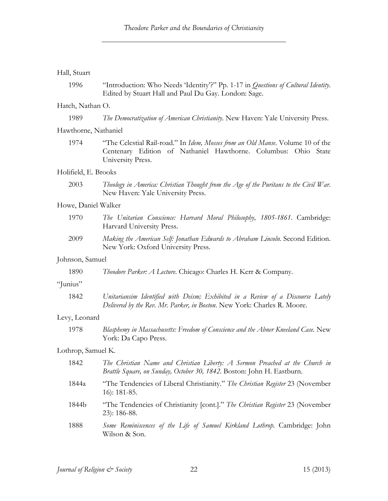## Hall, Stuart

1996 "Introduction: Who Needs 'Identity'?" Pp. 1-17 in *Questions of Cultural Identity*. Edited by Stuart Hall and Paul Du Gay. London: Sage.

## Hatch, Nathan O.

| 1989 |  |  | The Democratization of American Christianity. New Haven: Yale University Press. |  |
|------|--|--|---------------------------------------------------------------------------------|--|
|      |  |  |                                                                                 |  |

## Hawthorne, Nathaniel

1974 "The Celestial Rail-road." In *Idem, Mosses from an Old Manse*. Volume 10 of the Centenary Edition of Nathaniel Hawthorne. Columbus: Ohio State University Press.

## Holifield, E. Brooks

2003 *Theology in America: Christian Thought from the Age of the Puritans to the Civil War*. New Haven: Yale University Press.

## Howe, Daniel Walker

- 1970 *The Unitarian Conscience: Harvard Moral Philosophy, 1805-1861*. Cambridge: Harvard University Press.
- 2009 *Making the American Self: Jonathan Edwards to Abraham Lincoln*. Second Edition. New York: Oxford University Press.

## Johnson, Samuel

| 1890 | Theodore Parker: A Lecture. Chicago: Charles H. Kerr & Company. |  |  |
|------|-----------------------------------------------------------------|--|--|
|      |                                                                 |  |  |

## "Junius"

| 1842 | Unitariansim Identified with Deism; Exhibited in a Review of a Discourse Lately |  |  |  |  |
|------|---------------------------------------------------------------------------------|--|--|--|--|
|      | Delivered by the Rev. Mr. Parker, in Boston. New York: Charles R. Moore.        |  |  |  |  |

## Levy, Leonard

1978 *Blasphemy in Massachusetts: Freedom of Conscience and the Abner Kneeland Case*. New York: Da Capo Press.

## Lothrop, Samuel K.

| 1842  | The Christian Name and Christian Liberty: A Sermon Preached at the Church in<br>Brattle Square, on Sunday, October 30, 1842. Boston: John H. Eastburn. |
|-------|--------------------------------------------------------------------------------------------------------------------------------------------------------|
| 1844a | "The Tendencies of Liberal Christianity." The Christian Register 23 (November<br>$16$ : 181-85.                                                        |
| 1844b | "The Tendencies of Christianity [cont.]." The Christian Register 23 (November<br>$23$ : 186-88.                                                        |
| 1888  | Some Reminiscences of the Life of Samuel Kirkland Lothrop. Cambridge: John<br>Wilson & Son.                                                            |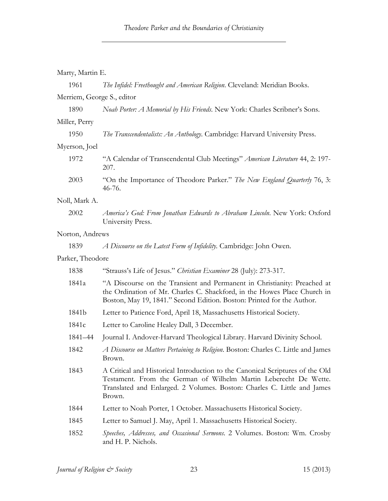| Marty, Martin E.           |                                                                                                                                                                                                                                        |
|----------------------------|----------------------------------------------------------------------------------------------------------------------------------------------------------------------------------------------------------------------------------------|
| 1961                       | The Infidel: Freethought and American Religion. Cleveland: Meridian Books.                                                                                                                                                             |
| Merriem, George S., editor |                                                                                                                                                                                                                                        |
| 1890                       | Noah Porter: A Memorial by His Friends. New York: Charles Scribner's Sons.                                                                                                                                                             |
| Miller, Perry              |                                                                                                                                                                                                                                        |
| 1950                       | The Transcendentalists: An Anthology. Cambridge: Harvard University Press.                                                                                                                                                             |
| Myerson, Joel              |                                                                                                                                                                                                                                        |
| 1972                       | "A Calendar of Transcendental Club Meetings" American Literature 44, 2: 197-<br>207.                                                                                                                                                   |
| 2003                       | "On the Importance of Theodore Parker." The New England Quarterly 76, 3:<br>46-76.                                                                                                                                                     |
| Noll, Mark A.              |                                                                                                                                                                                                                                        |
| 2002                       | America's God: From Jonathan Edwards to Abraham Lincoln. New York: Oxford<br>University Press.                                                                                                                                         |
| Norton, Andrews            |                                                                                                                                                                                                                                        |
| 1839                       | A Discourse on the Latest Form of Infidelity. Cambridge: John Owen.                                                                                                                                                                    |
| Parker, Theodore           |                                                                                                                                                                                                                                        |
| 1838                       | "Strauss's Life of Jesus." Christian Examiner 28 (July): 273-317.                                                                                                                                                                      |
| 1841a                      | "A Discourse on the Transient and Permanent in Christianity: Preached at<br>the Ordination of Mr. Charles C. Shackford, in the Howes Place Church in<br>Boston, May 19, 1841." Second Edition. Boston: Printed for the Author.         |
| 1841b                      | Letter to Patience Ford, April 18, Massachusetts Historical Society.                                                                                                                                                                   |
| 1841c                      | Letter to Caroline Healey Dall, 3 December.                                                                                                                                                                                            |
| 1841-44                    | Journal I. Andover-Harvard Theological Library. Harvard Divinity School.                                                                                                                                                               |
| 1842                       | A Discourse on Matters Pertaining to Religion. Boston: Charles C. Little and James<br>Brown.                                                                                                                                           |
| 1843                       | A Critical and Historical Introduction to the Canonical Scriptures of the Old<br>Testament. From the German of Wilhelm Martin Leberecht De Wette.<br>Translated and Enlarged. 2 Volumes. Boston: Charles C. Little and James<br>Brown. |
| 1844                       | Letter to Noah Porter, 1 October. Massachusetts Historical Society.                                                                                                                                                                    |
| 1845                       | Letter to Samuel J. May, April 1. Massachusetts Historical Society.                                                                                                                                                                    |
| 1852                       | Speeches, Addresses, and Occasional Sermons. 2 Volumes. Boston: Wm. Crosby<br>and H. P. Nichols.                                                                                                                                       |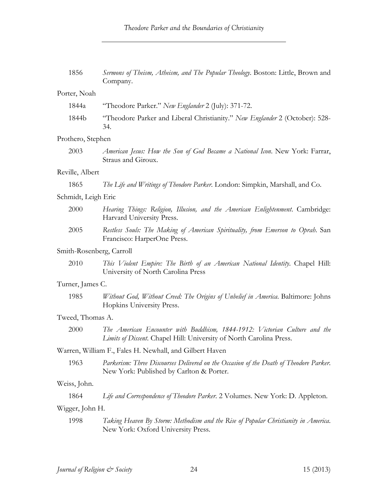| 1856                     | Sermons of Theism, Atheism, and The Popular Theology. Boston: Little, Brown and<br>Company.                                                       |
|--------------------------|---------------------------------------------------------------------------------------------------------------------------------------------------|
| Porter, Noah             |                                                                                                                                                   |
| 1844a                    | "Theodore Parker." New Englander 2 (July): 371-72.                                                                                                |
| 1844b                    | "Theodore Parker and Liberal Christianity." New Englander 2 (October): 528-<br>34.                                                                |
| Prothero, Stephen        |                                                                                                                                                   |
| 2003                     | American Jesus: How the Son of God Became a National Icon. New York: Farrar,<br>Straus and Giroux.                                                |
| Reville, Albert          |                                                                                                                                                   |
| 1865                     | The Life and Writings of Theodore Parker. London: Simpkin, Marshall, and Co.                                                                      |
| Schmidt, Leigh Eric      |                                                                                                                                                   |
| 2000                     | Hearing Things: Religion, Illusion, and the American Enlightenment. Cambridge:<br>Harvard University Press.                                       |
| 2005                     | Restless Souls: The Making of American Spirituality, from Emerson to Oprah. San<br>Francisco: HarperOne Press.                                    |
| Smith-Rosenberg, Carroll |                                                                                                                                                   |
| 2010                     | This Violent Empire: The Birth of an American National Identity. Chapel Hill:<br>University of North Carolina Press                               |
| Turner, James C.         |                                                                                                                                                   |
| 1985                     | Without God, Without Creed: The Origins of Unbelief in America. Baltimore: Johns<br>Hopkins University Press.                                     |
| Tweed, Thomas A.         |                                                                                                                                                   |
| 2000                     | The American Encounter with Buddhism, 1844-1912: Victorian Culture and the<br>Limits of Dissent. Chapel Hill: University of North Carolina Press. |
|                          | Warren, William F., Fales H. Newhall, and Gilbert Haven                                                                                           |
| 1963                     | Parkerism: Three Discourses Delivered on the Occasion of the Death of Theodore Parker.<br>New York: Published by Carlton & Porter.                |
| Weiss, John.             |                                                                                                                                                   |
| 1864                     | Life and Correspondence of Theodore Parker. 2 Volumes. New York: D. Appleton.                                                                     |
| Wigger, John H.          |                                                                                                                                                   |
| 1998                     | Taking Heaven By Storm: Methodism and the Rise of Popular Christianity in America.<br>New York: Oxford University Press.                          |
|                          |                                                                                                                                                   |